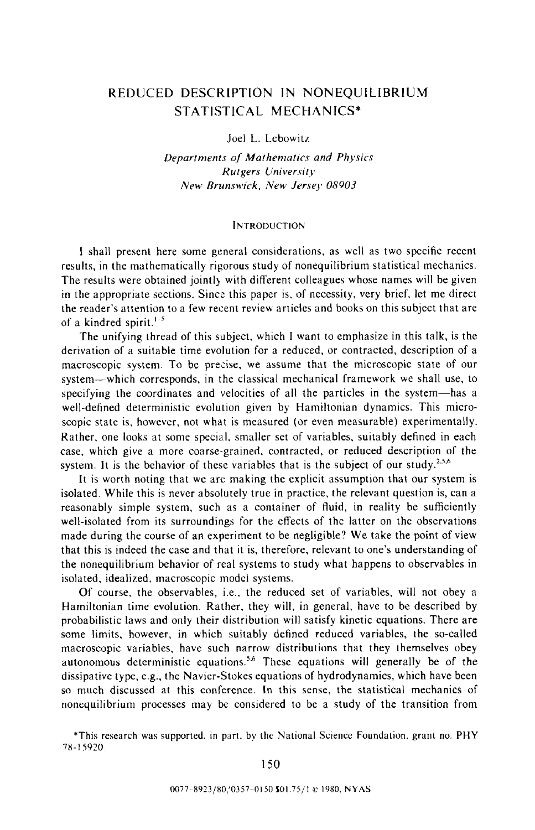# **REDUCED DESCRIPTION IN NONEQUILIBRIUM STATISTICAL MECHANICS\***

## Joel **L.** Lebowitr.

*Departments of Maihenintirs and* Physics Rutgers University *New Brunswick, New Jerse!, 08903* 

#### **INTRODUCTION**

I shall present here some general considerations, as well as two specific recent results, in the mathematically rigorous study of nonequilibrium statistical mechanics. The results were obtained jointly with different colleagues whose names will be given in the appropriate sections. Since this paper is. of necessity, very brief, let me direct the reader's attention to a few recent review articlcs and books on this subject that are of a kindred spirit.<sup>1.5</sup>

The unifying thread of this subject, which I want to emphasize in this talk, is the derivation of a suitable time evolution for a reduced, or contracted, description of a macroscopic system. To be precise, we assume that the microscopic state of our system-which corresponds, in the classical mechanical framework we shall use, to specifying the coordinates and velocities of all the particles in the system-has a well-defined deterministic evolution given by Hamiltonian dynamics. This microscopic state is. however. not what is measured (or even measurable) experimentally. Rather, one looks at some special. smaller set of variables, suitably defined in each case, which give a more coarse-grained, contracted, or reduced description of the system. It is the behavior of these variables that is the subject of our study.<sup>2.5.6</sup>

It is worth noting that we are making the explicit assumption that our system is isolated. While this is never absolutely true in practice, the relevant question is, can a reasonably simple system, such as a container of fluid, in reality be sufficiently well-isolated from its surroundings for the effects of the latter on the observations made during the course of an experiment to be negligible? We take the point of view that this is indeed the case and that it is, therefore, relevant to one's understanding of the nonequilibrium behavior of real systems to study what happens to observables in isolated, idealized, macroscopic model systems.

Of course, the observables, i.e., the reduced set of variables, will not obey a Hamiltonian time evolution. Rather, they will, in general, have to be described by probabilistic laws and only their distribution will satisfy kinetic equations. There are some limits, however, in which suitably defined reduced variables, the so-called macroscopic variables, have such narrow distributions that they themselves obey autonomous deterministic equations.<sup>5,6</sup> These equations will generally be of the dissipative type, **e.g..** the Navier-Stokes equations of hydrodynamics, which have been so much discussed at this conference. In this sense, the statistical mechanics of nonequilibrium processes may be considered to be a study of the transition from

**'This research was supported. in part. by** the **National Science Foundation.** grant **no. PHY 78-** I 5920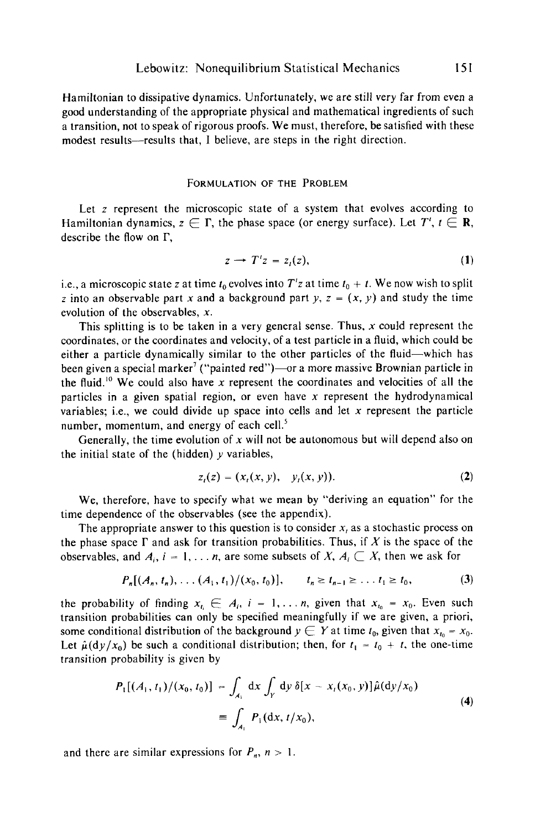Hamiltonian to dissipative dynamics. Unfortunately, we are still very far from even a good understanding of the appropriate physical and mathematical ingredients of such a transition, not to speak of rigorous proofs. We must, therefore, be satisfied with these modest results-results that, I believe, are steps in the right direction.

#### **FORMULATION** OF **THE PROBLEM**

Let *z* represent the microscopic state of a system that evolves according to Hamiltonian dynamics,  $z \in \Gamma$ , the phase space (or energy surface). Let  $T'$ ,  $t \in \mathbb{R}$ , describe the flow on  $\Gamma$ ,  $z \to T'z = z_t(z),$  (1)

$$
z \to T'z = z_i(z), \tag{1}
$$

i.e., a microscopic state *z* at time  $t_0$  evolves into  $T<sup>t</sup>z$  at time  $t_0 + t$ . We now wish to split *z* into an observable part x and a background part y,  $z = (x, y)$  and study the time evolution of the observables, x.

This splitting is to be taken in a very general sense. Thus,  $x$  could represent the coordinates, or the coordinates and velocity, of a test particle in a fluid, which could be either a particle dynamically similar to the other particles of the fluid-which has been given a special marker<sup>7</sup> ("painted red")—or a more massive Brownian particle in the fluid.<sup>10</sup> We could also have x represent the coordinates and velocities of all the particles in a given spatial region, or even have  $x$  represent the hydrodynamical variables; i.e., we could divide up space into cells and let  $x$  represent the particle number, momentum, and energy of each cell.<sup>5</sup>

Generally, the time evolution of x will not be autonomous but will depend also on the initial state of the (hidden)  $\nu$  variables,

$$
z_{t}(z) = (x_{t}(x, y), y_{t}(x, y)). \tag{2}
$$

We, therefore, have to specify what we mean by "deriving an equation" for the time dependence of the observables (see the appendix).

The appropriate answer to this question is to consider  $x_i$  as a stochastic process on the phase space  $\Gamma$  and ask for transition probabilities. Thus, if X is the space of the observables, and  $A_i$ ,  $i = 1, \ldots n$ , are some subsets of X,  $A_i \subset X$ , then we ask for

$$
P_n[(A_n, t_n), \ldots (A_1, t_1)/(x_0, t_0)], \qquad t_n \geq t_{n-1} \geq \ldots t_1 \geq t_0,
$$
 (3)

the probability of finding  $x_{t_i} \in A_i$ ,  $i = 1, \ldots n$ , given that  $x_{t_0} = x_0$ . Even such transition probabilities can only be specified meaningfully if we are given, a priori, some conditional distribution of the background  $y \in Y$  at time  $t_0$ , given that  $x_{t_0} = x_0$ . Let  $\hat{\mu}(\mathrm{d}y/x_0)$  be such a conditional distribution; then, for  $t_1 = t_0 + t$ , the one-time transition probability is given by

$$
P_1[(A_1, t_1)/(x_0, t_0)] = \int_{A_1} dx \int_Y dy \, \delta[x - x_t(x_0, y)] \hat{\mu}(dy/x_0)
$$
  

$$
\equiv \int_{A_1} P_1(dx, t/x_0), \qquad (4)
$$

and there are similar expressions for  $P_n$ ,  $n > 1$ .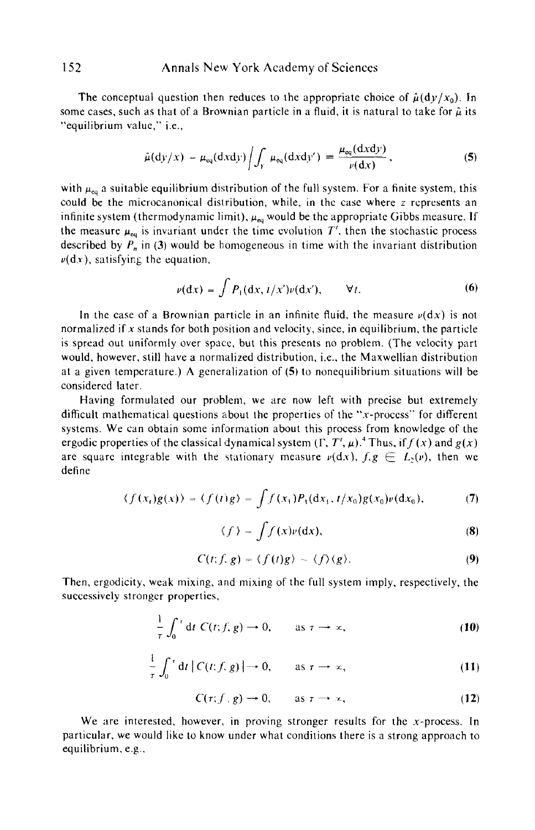The conceptual question then reduces to the appropriate choice of  $\hat{\mu}(\text{d}y/x_0)$ . In some cases, such as that of a Brownian particle in a fluid, it is natural to take for  $\hat{\mu}$  its "equilibrium value," i.e.,

$$
\hat{\mu}(\mathrm{d}y/x) = \mu_{\text{eq}}(\mathrm{d}x\mathrm{d}y) \bigg/ \int_{Y} \mu_{\text{eq}}(\mathrm{d}x\mathrm{d}y') \equiv \frac{\mu_{\text{eq}}(\mathrm{d}x\mathrm{d}y)}{\nu(\mathrm{d}x)}\,,\tag{5}
$$

with  $\mu_{\text{eq}}$  a suitable equilibrium distribution of the full system. For a finite system, this could **be** the microcanonical distribution, while, in thc case where z represents an infinite system (thermodynamic limit),  $\mu_{ea}$  would be the appropriate Gibbs measure. If the measure  $\mu_{eq}$  is invariant under the time evolution  $T'$ , then the stochastic process described by  $P_n$  in (3) would be homogeneous in time with the invariant distribution  $\nu(\mathbf{d}x)$ , satisfying the equation,

$$
\nu(\mathbf{d}x) = \int P_1(\mathbf{d}x, t/x')\nu(\mathbf{d}x'), \qquad \forall t.
$$
 (6)

In the case of a Brownian particle in an infinite fluid, the measure  $\nu(dx)$  is not normalized if **x** stands for both position and velocity, since, in equilibrium. the particle is spread out uniformly over **space.** but this presents no problem. (The velocity part would, however, still have a normalized distribution, *i.e.*, the Maxwellian distribution at a given temperature.) **A** generalization of *(5)* to nonequilibrium situations will be considered later.

Having formulated our problem, we are now left with precise but extremely difficult mathematical questions about the properties of the " $x$ -process" for different systems. We can obtain some information about this process from knowledge of the ergodic properties of the classical dynamical system  $(\Gamma, T', \mu)$ .<sup>4</sup> Thus, if  $f(x)$  and  $g(x)$ are square integrable with the stationary measure  $\nu(dx)$ ,  $f,g \in L(\nu)$ , then we define

$$
\langle f(x_t)g(x)\rangle = \langle f(t)g\rangle = \int f(x_1)P_1(\mathrm{d}x_1, t/x_0)g(x_0)\nu(\mathrm{d}x_0),\tag{7}
$$

$$
\langle f \rangle = \int f(x) \nu(\mathrm{d}x), \tag{8}
$$

$$
C(t; f, g) = \langle f(t)g \rangle - \langle f \rangle \langle g \rangle. \tag{9}
$$

Then, ergodicity, weak mixing. and mixing of the full system imply, respectively, the successively stronger properties,

$$
\frac{1}{\tau} \int_0^{\tau} dt \ C(t; f, g) \to 0, \qquad \text{as } \tau \to \infty,
$$
 (10)

$$
\frac{1}{\tau} \int_0^\tau dt \, |C(t; f, g)| \to 0, \qquad \text{as } \tau \to \infty,
$$
 (11)

$$
C(\tau; f, g) \to 0, \qquad \text{as } \tau \to \infty,
$$
 (12)

We are interested, however, in proving stronger results for the  $x$ -process. In particular, we would like to know under what conditions there is a strong approach to equilibrium, e.g.,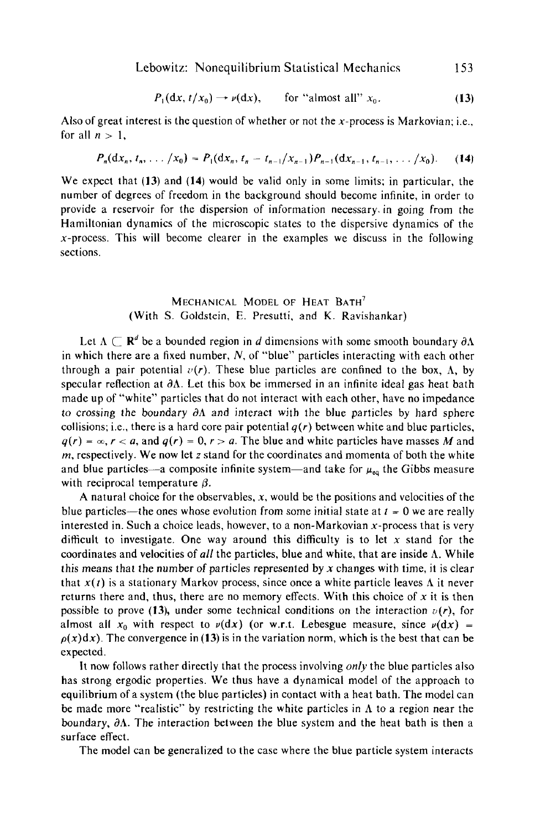Lebowitz: Nonequilibrium Statistical Mechanics 153

$$
P_1(\text{d}x, t/x_0) \to \nu(\text{d}x), \qquad \text{for "almost all" } x_0. \tag{13}
$$

**Also of** great interest is the question *of* whether or not the x-process is Markovian; i.e., for all  $n > 1$ ,

$$
P_n(\mathrm{d}x_n, t_n, \ldots / x_0) = P_1(\mathrm{d}x_n, t_n - t_{n-1}/x_{n-1}) P_{n-1}(\mathrm{d}x_{n-1}, t_{n-1}, \ldots / x_0). \tag{14}
$$

We expect that **(13)** and **(14)** would be valid only in some limits; in particular, the number of degrees of freedom in the background should become infinite, in order to provide a reservoir for the dispersion of information necessary. in going from the Hamiltonian dynamics of the microscopic states to the dispersive dynamics of the  $x$ -process. This will become clearer in the examples we discuss in the following sections.

## MECHANICAL MODEL OF HEAT BATH' (With **S.** Goldstein. E. Presutti. and **K.** Ravishankar)

Let  $\Lambda \subset \mathbb{R}^d$  be a bounded region in *d* dimensions with some smooth boundary  $\partial \Lambda$ in which there are a fixed number, *N,* of "blue" particles interacting with each other through a pair potential  $v(r)$ . These blue particles are confined to the box,  $\Lambda$ , by specular reflection at **dA.** Let this box be immersed in an infinite ideal gas heat bath made up of "white" particles that do not interact with each other, have no impedance to crossing the boundary  $\partial \Lambda$  and interact with the blue particles by hard sphere collisions; i.e., there is a hard core pair potential  $q(r)$  between white and blue particles,  $q(r) = \infty$ ,  $r < a$ , and  $q(r) = 0$ ,  $r > a$ . The blue and white particles have masses *M* and *m,* respectively. We now let *z* stand for the coordinates and momenta of both the white and blue particles—a composite infinite system—and take for  $\mu_{eq}$  the Gibbs measure with reciprocal temperature *p.* 

A natural choice for the observables,  $x$ , would be the positions and velocities of the blue particles—the ones whose evolution from some initial state at  $t = 0$  we are really interested in. Such a choice leads, however, to a non-Markovian x-process that is very difficult to investigate. One way around this difficulty is to let  $x$  stand for the coordinates and velocities of *all* the particles, blue and white, that are inside **A.** While this means that the number of particles represented by **x** changes with time, it is clear that  $x(t)$  is a stationary Markov process, since once a white particle leaves  $\Lambda$  it never returns there and, thus, there are no memory effects. With this choice of  $x$  it is then possible to prove (13), under some technical conditions on the interaction  $v(r)$ , for almost all  $x_0$  with respect to  $\nu(dx)$  (or w.r.t. Lebesgue measure, since  $\nu(dx)$  =  $p(x)dx$ ). The convergence in (13) is in the variation norm, which is the best that can be expected.

It now follows rather directly that the process involving *only* the blue particles also **has** strong ergodic properties. We thus have a dynamical model of the approach to equilibrium of a system (the blue particles) in contact with a heat bath. The model can be made more "realistic" by restricting the white particles in  $\Lambda$  to a region near the boundary,  $\partial \Lambda$ . The interaction between the blue system and the heat bath is then a surface effect.

The model can be generalized to the case where the blue particle system interacts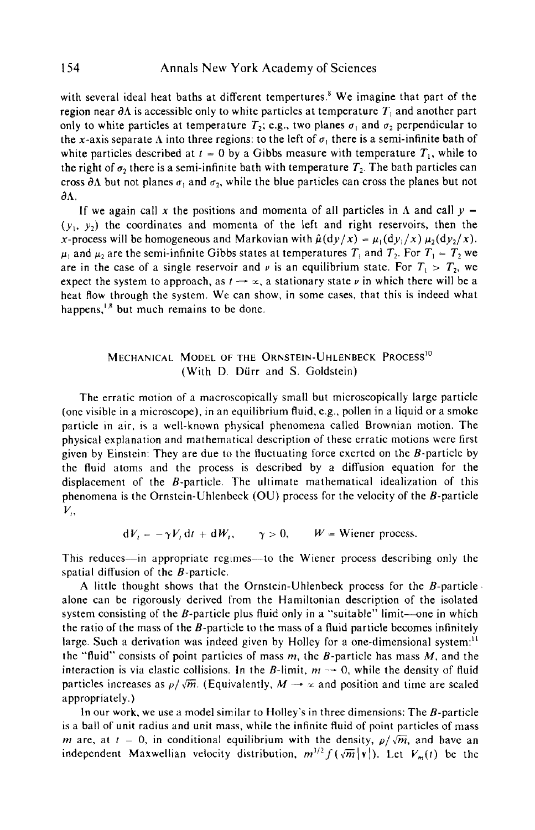with several ideal heat baths at different tempertures.<sup>8</sup> We imagine that part of the region near  $\partial \Lambda$  is accessible only to white particles at temperature  $T_1$  and another part only to white particles at temperature  $T_2$ ; e.g., two planes  $\sigma_1$  and  $\sigma_2$  perpendicular to the x-axis separate  $\Lambda$  into three regions: to the left of  $\sigma_1$  there is a semi-infinite bath of white particles described at  $I = 0$  by a Gibbs measure with temperature  $T<sub>1</sub>$ , while to the right of  $\sigma_2$  there is a semi-infinite bath with temperature  $T_2$ . The bath particles can cross  $\partial \Lambda$  but not planes  $\sigma_1$  and  $\sigma_2$ , while the blue particles can cross the planes but not  $\partial \Lambda$ .

If we again call x the positions and momenta of all particles in  $\Lambda$  and call  $y =$  $(y_1, y_2)$  the coordinates and momenta of the left and right reservoirs, then the x-process will be homogeneous and Markovian with  $\hat{\mu}(\mathrm{d}y/x) = \mu_1(\mathrm{d}y_1/x) \mu_2(\mathrm{d}y_2/x)$ .  $\mu_1$  and  $\mu_2$  are the semi-infinite Gibbs states at temperatures  $T_1$  and  $T_2$ . For  $T_1 = T_2$  we  $\mu_1$  and  $\mu_2$  are the semi-infinite Gibbs states at temperatures  $I_1$  and  $I_2$ , ror  $I_1 = I_2$  we are in the case of a single reservoir and  $\nu$  is an equilibrium state. For  $T_1 > T_2$ , we expect the system to approac heat flow through the system. We can show, in some cases, that this is indeed what happens, $^{1,8}$  but much remains to be done.

## **MECHANICAL MODEL OF THE OKNSTEIN-UHLENBECK PROCESS"**  (With **D.** Diirr and **S.** Goldstein)

The erratic motion of a macroscopically small but microscopically large particle (one visible in a microscope), in an equilibrium fluid, eg, pollen in a liquid or a smoke particle in air, is a well-known physical phenomena called Brownian motion. The physical explanation and mathematical description of these erratic motions were first given by Einstein: They are due to the fluctuating force exerted on the  $B$ -particle by the fluid atoms and the process is described by a diffusion equation for the displacement of the B-particle. The ultimate mathematical idealization of this phenomena is the Ornstein-Uhlenbeck (OU) process for the velocity of the B-particle  $V_{\scriptscriptstyle D}$ 

 $dV_t = -\gamma V_t dt + dW_t$ ,  $\gamma > 0$ ,  $W =$  Wiener process.

This reduces—in appropriate regimes—to the Wiener process describing only the spatial diffusion of the B-particle.

**A** little thought shows that the Ornstein-Uhlenbeck process for the B-particle alone can be rigorously derived from the Hamiltonian description of the isolated system consisting of the B-particle plus fluid only in a "suitable" limit-one in which the ratio of the mass of the  $B$ -particle to the mass of a fluid particle becomes infinitely large. Such a derivation was indeed given by Holley for a one-dimensional system:<sup>11</sup> the "fluid" consists of point particles of mass *m,* the B-particle has mass *M,* and the the "fluid" consists of point particles of mass *m*, the *B*-particle has mass *M*, and the interaction is via elastic collisions. In the *B*-limit,  $m \rightarrow 0$ , while the density of fluid particles increases as  $p/\sqrt{m}$ . (Eq appropriately.)

In our work, we use a model similar to Holley's in three dimensions: The B-particle is a ball of unit radius and unit mass, while the infinite fluid of point particles of mass *m* are, at  $I = 0$ , in conditional equilibrium with the density,  $\rho/\sqrt{m}$ , and have an independent Maxwellian velocity distribution,  $m^{3/2} f(\sqrt{m} |v|)$ . Let  $V_m(t)$  be the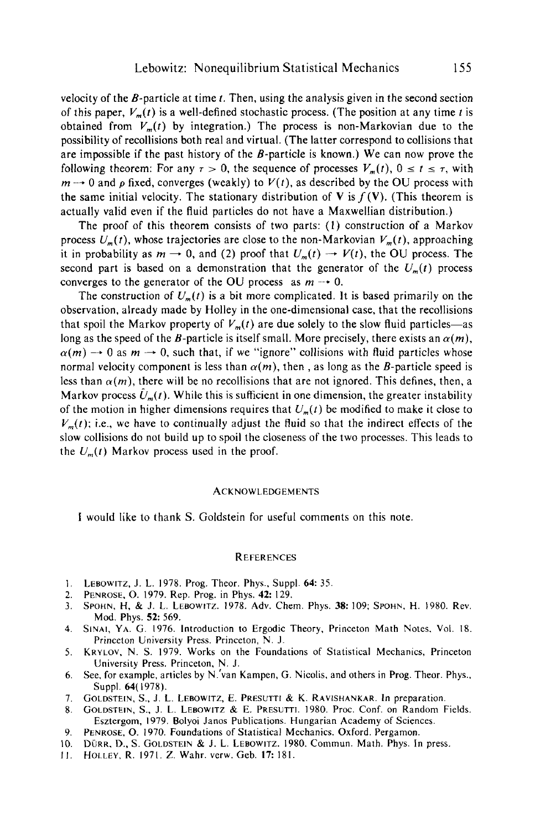velocity of the B-particle at time *t.* Then, using the analysis given in the second section of this paper,  $V_m(t)$  is a well-defined stochastic process. (The position at any time *t* is obtained from  $V_m(t)$  by integration.) The process is non-Markovian due to the possibility of recollisions both real and virtual. (The latter correspond to collisions that are impossible if the past history of the  $B$ -particle is known.) We can now prove the following theorem: For any  $\tau > 0$ , the sequence of processes  $V_m(t)$ ,  $0 \le t \le \tau$ , with  $m \to 0$  and  $\rho$  fixed, converges (weakly) to  $V(t)$ , as described by the OU process with the same initial velocity. The stationary distribution of **V** is  $f(V)$ . (This theorem is actually valid even if the fluid particles do not have a Maxwellian distribution.)

The proof of this theorem consists of two parts: (1) construction of a Markov process  $U_m(t)$ , whose trajectories are close to the non-Markovian  $V_m(t)$ , approaching it in probability as  $m \rightarrow 0$ , and (2) proof that  $U_m(t) \rightarrow V(t)$ , the OU process. The second part is based on a demonstration that the generator of the  $U_m(t)$  process converges to the generator of the OU process as  $m \rightarrow 0$ .

The construction of  $U_m(t)$  is a bit more complicated. It is based primarily on the observation, already made by Holley in the one-dimensional case, that the recollisions that spoil the Markov property of  $V_m(t)$  are due solely to the slow fluid particles—as long as the speed of the B-particle is itself small. More precisely, there exists an  $\alpha(m)$ ,  $\alpha(m) \rightarrow 0$  as  $m \rightarrow 0$ , such that, if we "ignore" collisions with fluid particles whose normal velocity component is less than  $\alpha(m)$ , then, as long as the B-particle speed is less than  $\alpha(m)$ , there will be no recollisions that are not ignored. This defines, then, a Markov process  $\hat{U}_m(t)$ . While this is sufficient in one dimension, the greater instability of the motion in higher dimensions requires that  $U_m(t)$  be modified to make it close to  $V_n(t)$ ; i.e., we have to continually adjust the fluid so that the indirect effects of the slow collisions do not build up to spoil the closeness of the two processes. This leads to the  $U_m(t)$  Markov process used in the proof.

#### **ACKNOWLEDGEMENTS**

**<sup>I</sup>**would like to thank **S.** Goldstein for useful comments on this note.

### **REFERENCES**

- I. LEBOWITZ, **J.** L. 1978. Prog. Theor. Phys., Suppl. **64** 35.
- **2.**  PENROSE. 0. 1979. Rep. Prog. in Phys. **42:** 129.
- **3.**  SPOHN, H, & **J.** L. LEBOWITZ. 1978. Adv. Chem. Phys. **38:** 109; SPOHN, H. 1980. Rev. Mod. Phys. **52:** 569.
- **4.**  SINAI, YA. *G.* 1976. Introduction to Ergodic Theory, Princeton Math Notes. **Val.** 18. Princeton University Press. Princeton, N. **J.**
- *5.*  KRYLOV, N. **S.** 1979. **Works** on the Foundations of Statistical Mechanics, Princeton University Press. Princeton, N. J.
- *6.*  See, for example, articles by N.'van Kampen, G. Nicolis. and others in Prog. Theor. Phys., Suppl. **64(** 1978).
- 7. GOLDSTEIN, **S.,** J. L. LEBOWITZ, **E.** PRESUTTI & **K.** RAVISHANKAR. In preparation.
- 8. GOLDSTEIN, S., **J.** L. LEBOWITZ & E. PRESUTTI. 1980. Proc. Conf. on Random Fields. Esztergom, 1979. Bolyoi Janos Publications. Hungarian Academy of Sciences.
- 9. PENROSE. 0. 1970. Foundations of Statistical Mechanics. Oxford. Pergamon.
- 10. DURR. D., *S.* GOLDSTEIN & J. **L.** LEBOWITZ. 1980. Commun. Math. Phys. In press.
- I I. HOLLEY. R. 1971. *Z.* Wahr. verw. Geb. **17:** 181.